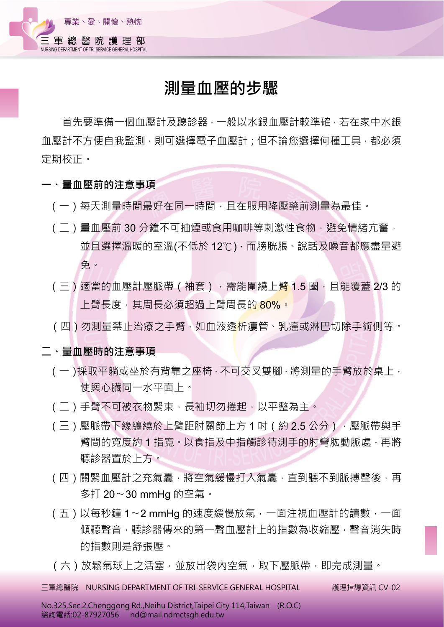

## **測量血壓的步驟**

首先要準備一個血壓計及聽診器,一般以水銀血壓計較準確,若在家中水銀 血壓計不方便自我監測,則可選擇電子血壓計;但不論您選擇何種工具,都必須 定期校正。

- **一、量血壓前的注意事項**
	- (一)每天測量時間最好在同一時間,日在服用降壓藥前測量為最佳。
	- (二)量血壓前 30 分鐘不可抽煙或食用咖啡等刺激性食物,避免情緒亢奮, 並且選擇溫暖的室溫(不低於 12℃),而膀胱脹、說話及噪音都應盡量避 免。
	- (三)適當的血壓計壓脈帶 (袖套),需能圍繞上<mark>臂 1.5 圈,且能覆蓋 2/3</mark> 的 上臂長度,其周長必須超過上臂周長的 80%。
	- (四)勿測量禁止治療之手臂,如血液透析瘻管、乳癌或淋巴切除手術側等。

## **二、量血壓時的注意事項**

- (一)採取平躺或坐於有背靠之座椅,不可交叉雙腳,將測量的手臂放於桌上, 使與心臟同一水平面上。
- (二)手臂不可被衣物緊束,長袖切勿捲起,以平整為主。
- (三)壓脈帶下緣纏繞於上臂距肘關節上方1吋(約2.5公分),壓脈帶與手 臂間的寬度約 1 指寬。以食指及中指觸診待測手的肘彎肱動脈處,再將 聽診器置於上方。
- (四)關緊血壓計之充氣囊,將空氣緩慢打入氣囊,直到聽不到脈搏聲後,再 多打 20〜30 mmHg 的空氣。
- (五)以每秒鐘 1〜2 mmHg 的速度緩慢放氣,一面注視血壓計的讀數,一面 傾聽聲音,聽診器傳來的第一聲血壓計上的指數為收縮壓,聲音消失時 的指數則是舒張壓。
- (六)放鬆氣球上之活塞,並放出袋內空氣,取下壓脈帶,即完成測量。

 $\overline{=}$ 軍總醫院 NURSING DEPARTMENT OF TRI-SERVICE GENERAL HOSPITAL  $\qquad$  護理指導資訊 CV-02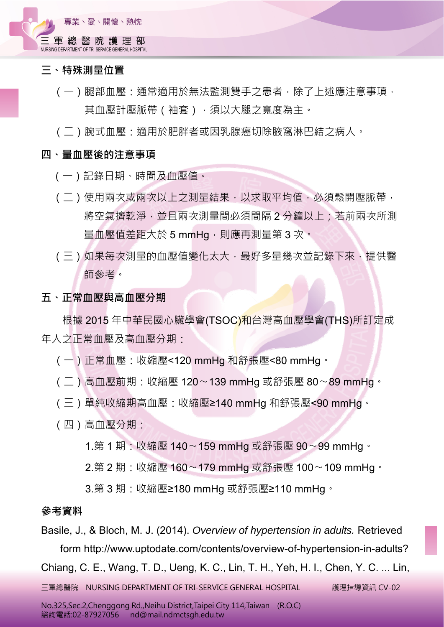

- **三、特殊測量位置**
	- (一)腿部血壓:通常適用於無法監測雙手之患者,除了上述應注意事項, 其血壓計壓脈帶(袖套),須以大腿之寬度為主。
	- (二)腕式血壓:適用於肥胖者或因乳腺癌切除腋窩淋巴結之病人。

## **四、量血壓後的注意事項**

- (一)記錄日期、時間及血壓值。
- ( 二 ) 使用兩次或兩次以上之測量結果,以求取平均值,必須鬆開壓脈帶, 將空氣擠乾淨,並且兩次測量間必須間隔 2 分鐘以上; 若前兩次所測 量血壓值差距大於 5 mmHg,則應再測量第 3 次。
- (三)如果每次測量的血壓值變化太大,最好多量幾次並記錄下來,提供醫 師參考。
- **五、正常血壓與高血壓分期**

根據 2015 年中華民國心臟學會(TSOC)和台灣高血壓學會(THS)所訂定成 年人之正常血壓及高血壓分期:

- (一)正常血壓:收縮壓<120 mmHg 和舒張壓<80 mmHg。
- (二)高血壓前期:收縮壓 120〜139 mmHg 或舒張壓 80〜89 mmHg。
- (三)單純收縮期高血壓:收縮壓≥140 mmHg 和舒張壓<90 mmHg。
- (四)高血壓分期:

1.第 1 期:收縮壓 140〜159 mmHg 或舒張壓 90〜99 mmHg。

2.第 2 期:收縮壓 160∼179 mmHg 或舒張壓 100∼109 mmHg。

3.第3期:收縮壓≥180 mmHg 或舒張壓≥110 mmHg。

## **參考資料**

Basile, J., & Bloch, M. J. (2014). *Overview of hypertension in adults.* Retrieved form http://www.uptodate.com/contents/overview-of-hypertension-in-adults? Chiang, C. E., Wang, T. D., Ueng, K. C., Lin, T. H., Yeh, H. I., Chen, Y. C. ... Lin,

 $\overline{=}$ 軍總醫院 NURSING DEPARTMENT OF TRI-SERVICE GENERAL HOSPITAL  $\qquad$  護理指導資訊 CV-02